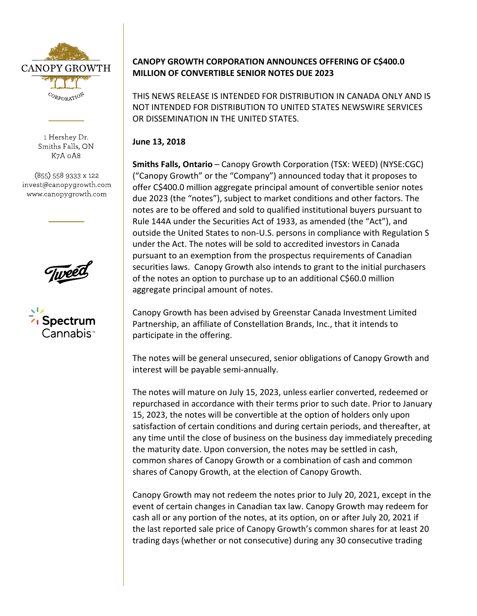

1 Hershey Dr. Smiths Falls, ON K7A 0A8

(855) 558 9333 x 122 invest@canopygrowth.com www.canopygrowth.com



# **CANOPY GROWTH CORPORATION ANNOUNCES OFFERING OF C\$400.0 MILLION OF CONVERTIBLE SENIOR NOTES DUE 2023**

THIS NEWS RELEASE IS INTENDED FOR DISTRIBUTION IN CANADA ONLY AND IS NOT INTENDED FOR DISTRIBUTION TO UNITED STATES NEWSWIRE SERVICES OR DISSEMINATION IN THE UNITED STATES.

#### **June 13, 2018**

**Smiths Falls, Ontario** – Canopy Growth Corporation (TSX: WEED) (NYSE:CGC) ("Canopy Growth" or the "Company") announced today that it proposes to offer C\$400.0 million aggregate principal amount of convertible senior notes due 2023 (the "notes"), subject to market conditions and other factors. The notes are to be offered and sold to qualified institutional buyers pursuant to Rule 144A under the Securities Act of 1933, as amended (the "Act"), and outside the United States to non-U.S. persons in compliance with Regulation S under the Act. The notes will be sold to accredited investors in Canada pursuant to an exemption from the prospectus requirements of Canadian securities laws. Canopy Growth also intends to grant to the initial purchasers of the notes an option to purchase up to an additional C\$60.0 million aggregate principal amount of notes.

Canopy Growth has been advised by Greenstar Canada Investment Limited Partnership, an affiliate of Constellation Brands, Inc., that it intends to participate in the offering.

The notes will be general unsecured, senior obligations of Canopy Growth and interest will be payable semi-annually.

The notes will mature on July 15, 2023, unless earlier converted, redeemed or repurchased in accordance with their terms prior to such date. Prior to January 15, 2023, the notes will be convertible at the option of holders only upon satisfaction of certain conditions and during certain periods, and thereafter, at any time until the close of business on the business day immediately preceding the maturity date. Upon conversion, the notes may be settled in cash, common shares of Canopy Growth or a combination of cash and common shares of Canopy Growth, at the election of Canopy Growth.

Canopy Growth may not redeem the notes prior to July 20, 2021, except in the event of certain changes in Canadian tax law. Canopy Growth may redeem for cash all or any portion of the notes, at its option, on or after July 20, 2021 if the last reported sale price of Canopy Growth's common shares for at least 20 trading days (whether or not consecutive) during any 30 consecutive trading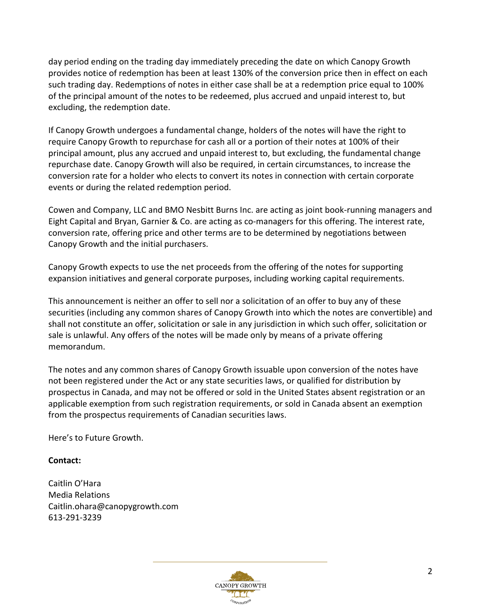day period ending on the trading day immediately preceding the date on which Canopy Growth provides notice of redemption has been at least 130% of the conversion price then in effect on each such trading day. Redemptions of notes in either case shall be at a redemption price equal to 100% of the principal amount of the notes to be redeemed, plus accrued and unpaid interest to, but excluding, the redemption date.

If Canopy Growth undergoes a fundamental change, holders of the notes will have the right to require Canopy Growth to repurchase for cash all or a portion of their notes at 100% of their principal amount, plus any accrued and unpaid interest to, but excluding, the fundamental change repurchase date. Canopy Growth will also be required, in certain circumstances, to increase the conversion rate for a holder who elects to convert its notes in connection with certain corporate events or during the related redemption period.

Cowen and Company, LLC and BMO Nesbitt Burns Inc. are acting as joint book-running managers and Eight Capital and Bryan, Garnier & Co. are acting as co-managers for this offering. The interest rate, conversion rate, offering price and other terms are to be determined by negotiations between Canopy Growth and the initial purchasers.

Canopy Growth expects to use the net proceeds from the offering of the notes for supporting expansion initiatives and general corporate purposes, including working capital requirements.

This announcement is neither an offer to sell nor a solicitation of an offer to buy any of these securities (including any common shares of Canopy Growth into which the notes are convertible) and shall not constitute an offer, solicitation or sale in any jurisdiction in which such offer, solicitation or sale is unlawful. Any offers of the notes will be made only by means of a private offering memorandum.

The notes and any common shares of Canopy Growth issuable upon conversion of the notes have not been registered under the Act or any state securities laws, or qualified for distribution by prospectus in Canada, and may not be offered or sold in the United States absent registration or an applicable exemption from such registration requirements, or sold in Canada absent an exemption from the prospectus requirements of Canadian securities laws.

Here's to Future Growth.

## **Contact:**

Caitlin O'Hara Media Relations Caitlin.ohara@canopygrowth.com 613-291-3239

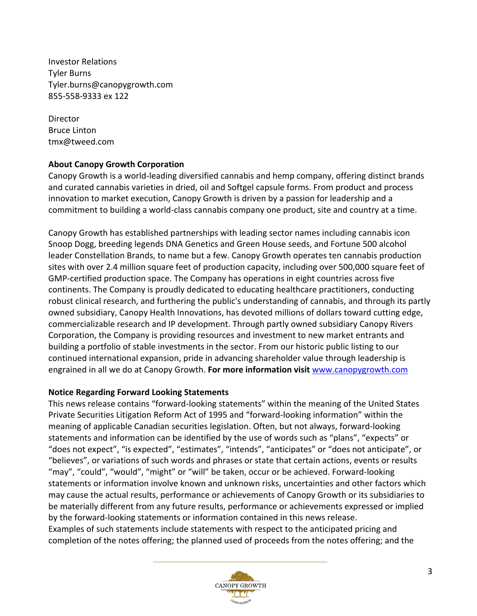Investor Relations Tyler Burns Tyler.burns@canopygrowth.com 855-558-9333 ex 122

**Director** Bruce Linton tmx@tweed.com

## **About Canopy Growth Corporation**

Canopy Growth is a world-leading diversified cannabis and hemp company, offering distinct brands and curated cannabis varieties in dried, oil and Softgel capsule forms. From product and process innovation to market execution, Canopy Growth is driven by a passion for leadership and a commitment to building a world-class cannabis company one product, site and country at a time.

Canopy Growth has established partnerships with leading sector names including cannabis icon Snoop Dogg, breeding legends DNA Genetics and Green House seeds, and Fortune 500 alcohol leader Constellation Brands, to name but a few. Canopy Growth operates ten cannabis production sites with over 2.4 million square feet of production capacity, including over 500,000 square feet of GMP-certified production space. The Company has operations in eight countries across five continents. The Company is proudly dedicated to educating healthcare practitioners, conducting robust clinical research, and furthering the public's understanding of cannabis, and through its partly owned subsidiary, Canopy Health Innovations, has devoted millions of dollars toward cutting edge, commercializable research and IP development. Through partly owned subsidiary Canopy Rivers Corporation, the Company is providing resources and investment to new market entrants and building a portfolio of stable investments in the sector. From our historic public listing to our continued international expansion, pride in advancing shareholder value through leadership is engrained in all we do at Canopy Growth. **For more information visit** [www.canopygrowth.com](http://www.canopygrowth.com/)

#### **Notice Regarding Forward Looking Statements**

This news release contains "forward-looking statements" within the meaning of the United States Private Securities Litigation Reform Act of 1995 and "forward-looking information" within the meaning of applicable Canadian securities legislation. Often, but not always, forward-looking statements and information can be identified by the use of words such as "plans", "expects" or "does not expect", "is expected", "estimates", "intends", "anticipates" or "does not anticipate", or "believes", or variations of such words and phrases or state that certain actions, events or results "may", "could", "would", "might" or "will" be taken, occur or be achieved. Forward-looking statements or information involve known and unknown risks, uncertainties and other factors which may cause the actual results, performance or achievements of Canopy Growth or its subsidiaries to be materially different from any future results, performance or achievements expressed or implied by the forward-looking statements or information contained in this news release. Examples of such statements include statements with respect to the anticipated pricing and completion of the notes offering; the planned used of proceeds from the notes offering; and the